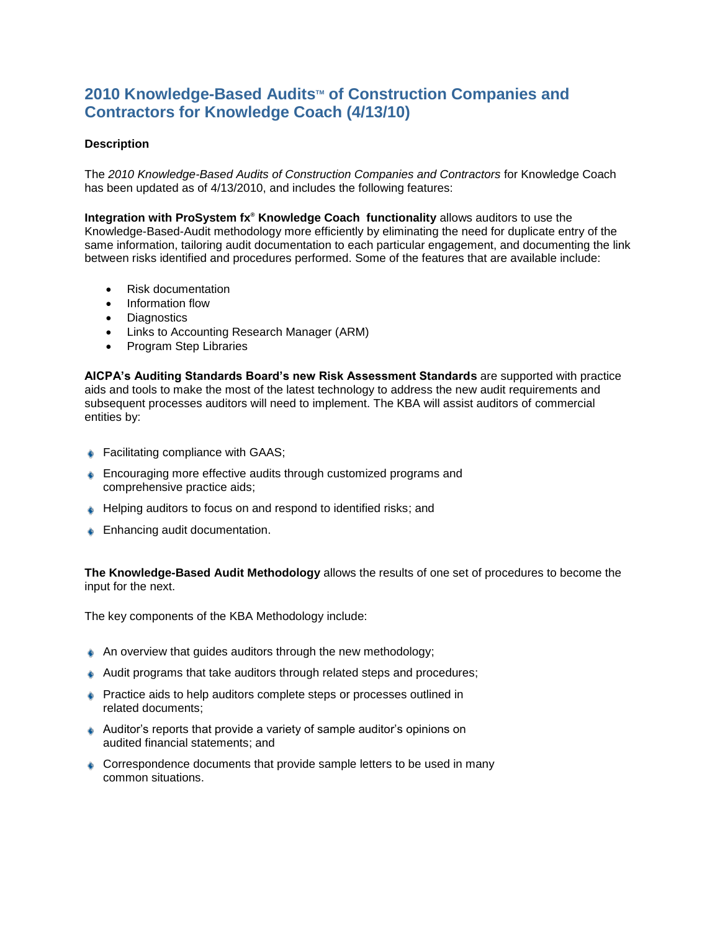## **2010** Knowledge-Based Audits™ of Construction Companies and **Contractors for Knowledge Coach (4/13/10)**

## **Description**

The *2010 Knowledge-Based Audits of Construction Companies and Contractors* for Knowledge Coach has been updated as of 4/13/2010, and includes the following features:

**Integration with ProSystem fx® Knowledge Coach functionality** allows auditors to use the Knowledge-Based-Audit methodology more efficiently by eliminating the need for duplicate entry of the same information, tailoring audit documentation to each particular engagement, and documenting the link between risks identified and procedures performed. Some of the features that are available include:

- Risk documentation
- Information flow
- Diagnostics
- Links to Accounting Research Manager (ARM)
- Program Step Libraries

**AICPA's Auditing Standards Board's new Risk Assessment Standards** are supported with practice aids and tools to make the most of the latest technology to address the new audit requirements and subsequent processes auditors will need to implement. The KBA will assist auditors of commercial entities by:

- ♦ Facilitating compliance with GAAS;
- **Encouraging more effective audits through customized programs and** comprehensive practice aids;
- ♦ Helping auditors to focus on and respond to identified risks; and
- **Enhancing audit documentation.**

**The Knowledge-Based Audit Methodology** allows the results of one set of procedures to become the input for the next.

The key components of the KBA Methodology include:

- $\triangle$  An overview that guides auditors through the new methodology;
- Audit programs that take auditors through related steps and procedures;
- **Practice aids to help auditors complete steps or processes outlined in** related documents;
- Auditor's reports that provide a variety of sample auditor's opinions on audited financial statements; and
- Correspondence documents that provide sample letters to be used in many common situations.